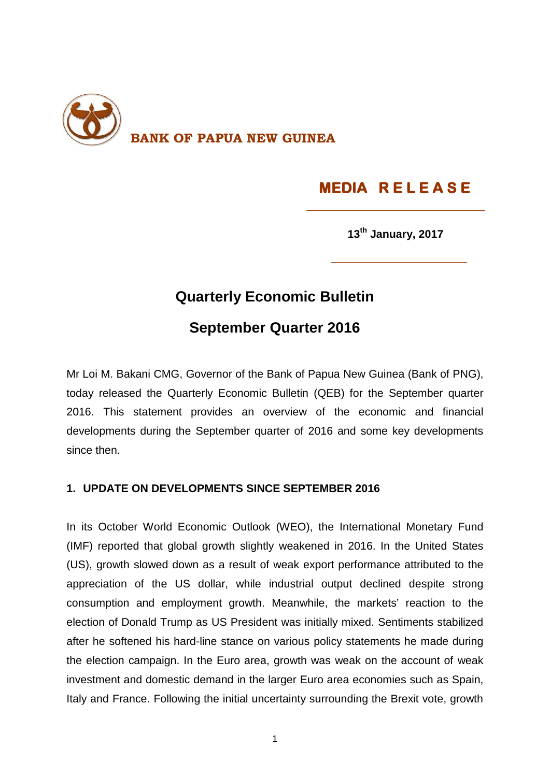

# **MEDIA R E L E A S E**

**13th January, 2017**

# **Quarterly Economic Bulletin**

## **September Quarter 2016**

Mr Loi M. Bakani CMG, Governor of the Bank of Papua New Guinea (Bank of PNG), today released the Quarterly Economic Bulletin (QEB) for the September quarter 2016. This statement provides an overview of the economic and financial developments during the September quarter of 2016 and some key developments since then.

### **1. UPDATE ON DEVELOPMENTS SINCE SEPTEMBER 2016**

In its October World Economic Outlook (WEO), the International Monetary Fund (IMF) reported that global growth slightly weakened in 2016. In the United States (US), growth slowed down as a result of weak export performance attributed to the appreciation of the US dollar, while industrial output declined despite strong consumption and employment growth. Meanwhile, the markets' reaction to the election of Donald Trump as US President was initially mixed. Sentiments stabilized after he softened his hard-line stance on various policy statements he made during the election campaign. In the Euro area, growth was weak on the account of weak investment and domestic demand in the larger Euro area economies such as Spain, Italy and France. Following the initial uncertainty surrounding the Brexit vote, growth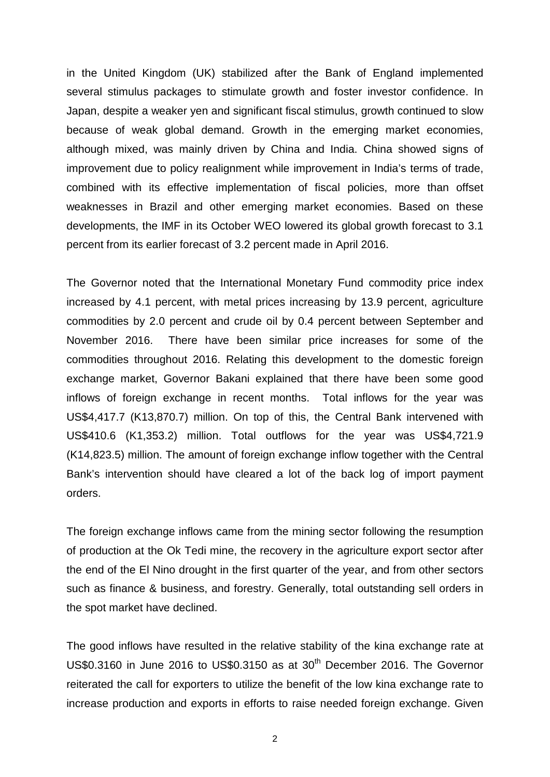in the United Kingdom (UK) stabilized after the Bank of England implemented several stimulus packages to stimulate growth and foster investor confidence. In Japan, despite a weaker yen and significant fiscal stimulus, growth continued to slow because of weak global demand. Growth in the emerging market economies, although mixed, was mainly driven by China and India. China showed signs of improvement due to policy realignment while improvement in India's terms of trade, combined with its effective implementation of fiscal policies, more than offset weaknesses in Brazil and other emerging market economies. Based on these developments, the IMF in its October WEO lowered its global growth forecast to 3.1 percent from its earlier forecast of 3.2 percent made in April 2016.

The Governor noted that the International Monetary Fund commodity price index increased by 4.1 percent, with metal prices increasing by 13.9 percent, agriculture commodities by 2.0 percent and crude oil by 0.4 percent between September and November 2016. There have been similar price increases for some of the commodities throughout 2016. Relating this development to the domestic foreign exchange market, Governor Bakani explained that there have been some good inflows of foreign exchange in recent months. Total inflows for the year was US\$4,417.7 (K13,870.7) million. On top of this, the Central Bank intervened with US\$410.6 (K1,353.2) million. Total outflows for the year was US\$4,721.9 (K14,823.5) million. The amount of foreign exchange inflow together with the Central Bank's intervention should have cleared a lot of the back log of import payment orders.

The foreign exchange inflows came from the mining sector following the resumption of production at the Ok Tedi mine, the recovery in the agriculture export sector after the end of the El Nino drought in the first quarter of the year, and from other sectors such as finance & business, and forestry. Generally, total outstanding sell orders in the spot market have declined.

The good inflows have resulted in the relative stability of the kina exchange rate at US\$0.3160 in June 2016 to US\$0.3150 as at 30<sup>th</sup> December 2016. The Governor reiterated the call for exporters to utilize the benefit of the low kina exchange rate to increase production and exports in efforts to raise needed foreign exchange. Given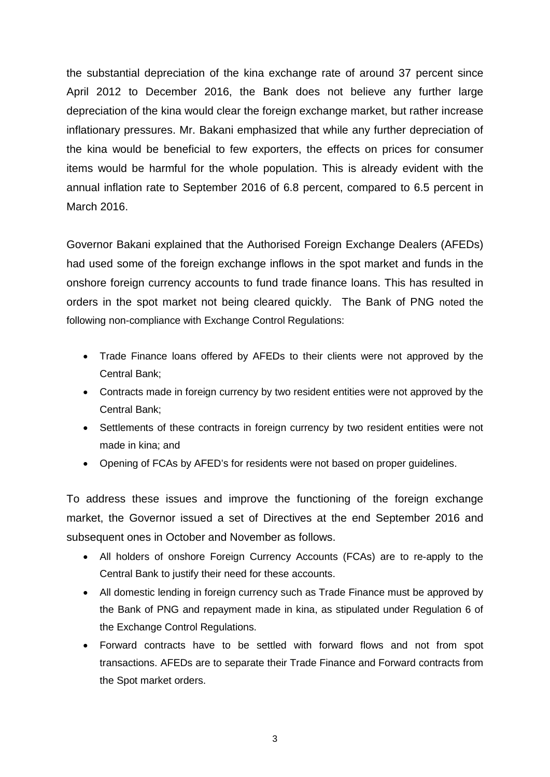the substantial depreciation of the kina exchange rate of around 37 percent since April 2012 to December 2016, the Bank does not believe any further large depreciation of the kina would clear the foreign exchange market, but rather increase inflationary pressures. Mr. Bakani emphasized that while any further depreciation of the kina would be beneficial to few exporters, the effects on prices for consumer items would be harmful for the whole population. This is already evident with the annual inflation rate to September 2016 of 6.8 percent, compared to 6.5 percent in March 2016.

Governor Bakani explained that the Authorised Foreign Exchange Dealers (AFEDs) had used some of the foreign exchange inflows in the spot market and funds in the onshore foreign currency accounts to fund trade finance loans. This has resulted in orders in the spot market not being cleared quickly. The Bank of PNG noted the following non-compliance with Exchange Control Regulations:

- Trade Finance loans offered by AFEDs to their clients were not approved by the Central Bank;
- Contracts made in foreign currency by two resident entities were not approved by the Central Bank;
- Settlements of these contracts in foreign currency by two resident entities were not made in kina; and
- Opening of FCAs by AFED's for residents were not based on proper guidelines.

To address these issues and improve the functioning of the foreign exchange market, the Governor issued a set of Directives at the end September 2016 and subsequent ones in October and November as follows.

- All holders of onshore Foreign Currency Accounts (FCAs) are to re-apply to the Central Bank to justify their need for these accounts.
- All domestic lending in foreign currency such as Trade Finance must be approved by the Bank of PNG and repayment made in kina, as stipulated under Regulation 6 of the Exchange Control Regulations.
- Forward contracts have to be settled with forward flows and not from spot transactions. AFEDs are to separate their Trade Finance and Forward contracts from the Spot market orders.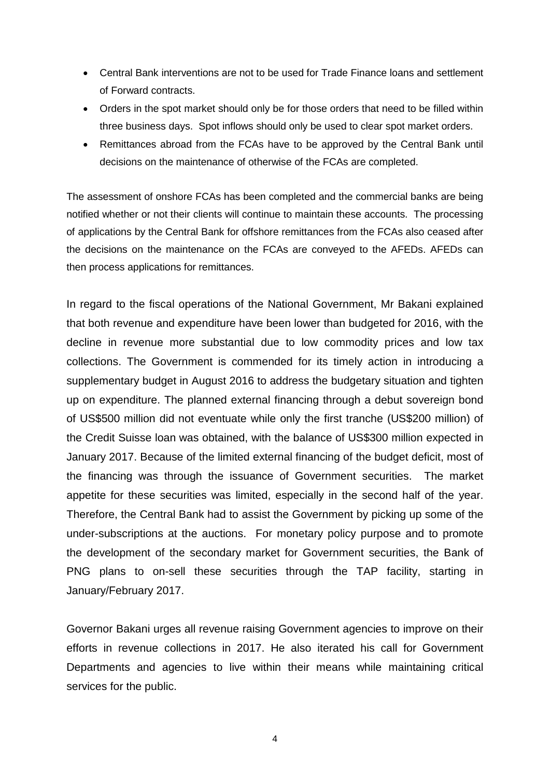- Central Bank interventions are not to be used for Trade Finance loans and settlement of Forward contracts.
- Orders in the spot market should only be for those orders that need to be filled within three business days. Spot inflows should only be used to clear spot market orders.
- Remittances abroad from the FCAs have to be approved by the Central Bank until decisions on the maintenance of otherwise of the FCAs are completed.

The assessment of onshore FCAs has been completed and the commercial banks are being notified whether or not their clients will continue to maintain these accounts. The processing of applications by the Central Bank for offshore remittances from the FCAs also ceased after the decisions on the maintenance on the FCAs are conveyed to the AFEDs. AFEDs can then process applications for remittances.

In regard to the fiscal operations of the National Government, Mr Bakani explained that both revenue and expenditure have been lower than budgeted for 2016, with the decline in revenue more substantial due to low commodity prices and low tax collections. The Government is commended for its timely action in introducing a supplementary budget in August 2016 to address the budgetary situation and tighten up on expenditure. The planned external financing through a debut sovereign bond of US\$500 million did not eventuate while only the first tranche (US\$200 million) of the Credit Suisse loan was obtained, with the balance of US\$300 million expected in January 2017. Because of the limited external financing of the budget deficit, most of the financing was through the issuance of Government securities. The market appetite for these securities was limited, especially in the second half of the year. Therefore, the Central Bank had to assist the Government by picking up some of the under-subscriptions at the auctions. For monetary policy purpose and to promote the development of the secondary market for Government securities, the Bank of PNG plans to on-sell these securities through the TAP facility, starting in January/February 2017.

Governor Bakani urges all revenue raising Government agencies to improve on their efforts in revenue collections in 2017. He also iterated his call for Government Departments and agencies to live within their means while maintaining critical services for the public.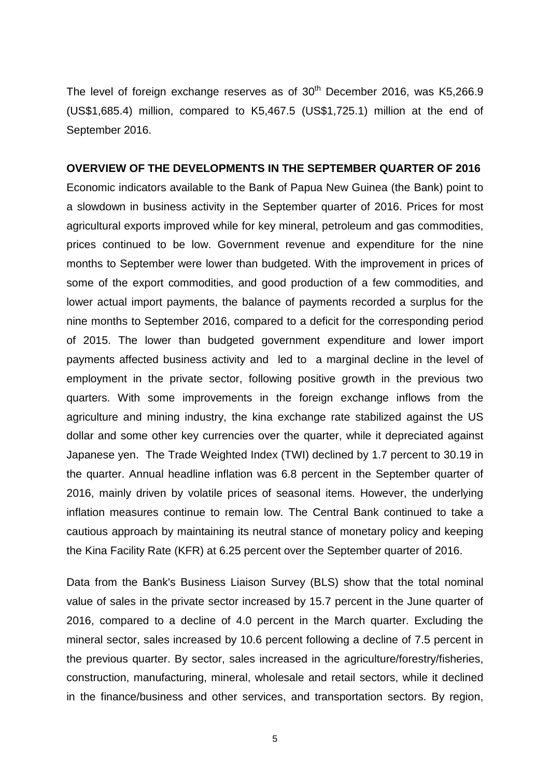The level of foreign exchange reserves as of  $30<sup>th</sup>$  December 2016, was K5.266.9 (US\$1,685.4) million, compared to K5,467.5 (US\$1,725.1) million at the end of September 2016.

#### **OVERVIEW OF THE DEVELOPMENTS IN THE SEPTEMBER QUARTER OF 2016**

Economic indicators available to the Bank of Papua New Guinea (the Bank) point to a slowdown in business activity in the September quarter of 2016. Prices for most agricultural exports improved while for key mineral, petroleum and gas commodities, prices continued to be low. Government revenue and expenditure for the nine months to September were lower than budgeted. With the improvement in prices of some of the export commodities, and good production of a few commodities, and lower actual import payments, the balance of payments recorded a surplus for the nine months to September 2016, compared to a deficit for the corresponding period of 2015. The lower than budgeted government expenditure and lower import payments affected business activity and led to a marginal decline in the level of employment in the private sector, following positive growth in the previous two quarters. With some improvements in the foreign exchange inflows from the agriculture and mining industry, the kina exchange rate stabilized against the US dollar and some other key currencies over the quarter, while it depreciated against Japanese yen. The Trade Weighted Index (TWI) declined by 1.7 percent to 30.19 in the quarter. Annual headline inflation was 6.8 percent in the September quarter of 2016, mainly driven by volatile prices of seasonal items. However, the underlying inflation measures continue to remain low. The Central Bank continued to take a cautious approach by maintaining its neutral stance of monetary policy and keeping the Kina Facility Rate (KFR) at 6.25 percent over the September quarter of 2016.

Data from the Bank's Business Liaison Survey (BLS) show that the total nominal value of sales in the private sector increased by 15.7 percent in the June quarter of 2016, compared to a decline of 4.0 percent in the March quarter. Excluding the mineral sector, sales increased by 10.6 percent following a decline of 7.5 percent in the previous quarter. By sector, sales increased in the agriculture/forestry/fisheries, construction, manufacturing, mineral, wholesale and retail sectors, while it declined in the finance/business and other services, and transportation sectors. By region,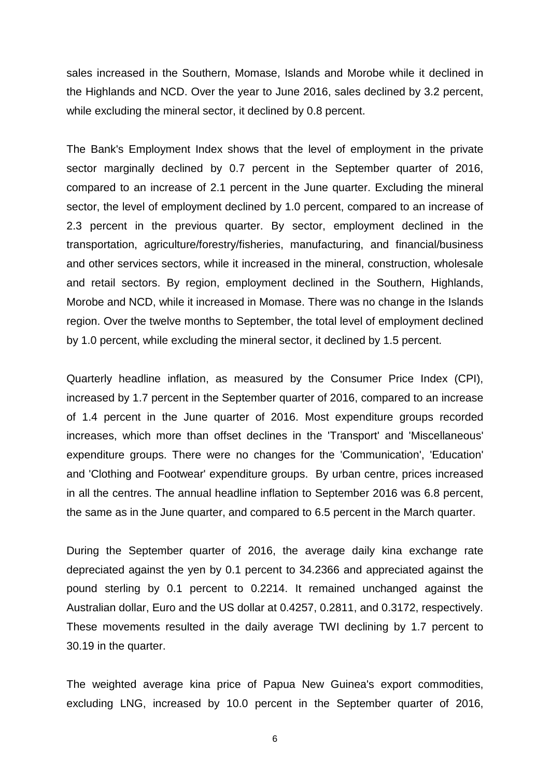sales increased in the Southern, Momase, Islands and Morobe while it declined in the Highlands and NCD. Over the year to June 2016, sales declined by 3.2 percent, while excluding the mineral sector, it declined by 0.8 percent.

The Bank's Employment Index shows that the level of employment in the private sector marginally declined by 0.7 percent in the September quarter of 2016, compared to an increase of 2.1 percent in the June quarter. Excluding the mineral sector, the level of employment declined by 1.0 percent, compared to an increase of 2.3 percent in the previous quarter. By sector, employment declined in the transportation, agriculture/forestry/fisheries, manufacturing, and financial/business and other services sectors, while it increased in the mineral, construction, wholesale and retail sectors. By region, employment declined in the Southern, Highlands, Morobe and NCD, while it increased in Momase. There was no change in the Islands region. Over the twelve months to September, the total level of employment declined by 1.0 percent, while excluding the mineral sector, it declined by 1.5 percent.

Quarterly headline inflation, as measured by the Consumer Price Index (CPI), increased by 1.7 percent in the September quarter of 2016, compared to an increase of 1.4 percent in the June quarter of 2016. Most expenditure groups recorded increases, which more than offset declines in the 'Transport' and 'Miscellaneous' expenditure groups. There were no changes for the 'Communication', 'Education' and 'Clothing and Footwear' expenditure groups. By urban centre, prices increased in all the centres. The annual headline inflation to September 2016 was 6.8 percent, the same as in the June quarter, and compared to 6.5 percent in the March quarter.

During the September quarter of 2016, the average daily kina exchange rate depreciated against the yen by 0.1 percent to 34.2366 and appreciated against the pound sterling by 0.1 percent to 0.2214. It remained unchanged against the Australian dollar, Euro and the US dollar at 0.4257, 0.2811, and 0.3172, respectively. These movements resulted in the daily average TWI declining by 1.7 percent to 30.19 in the quarter.

The weighted average kina price of Papua New Guinea's export commodities, excluding LNG, increased by 10.0 percent in the September quarter of 2016,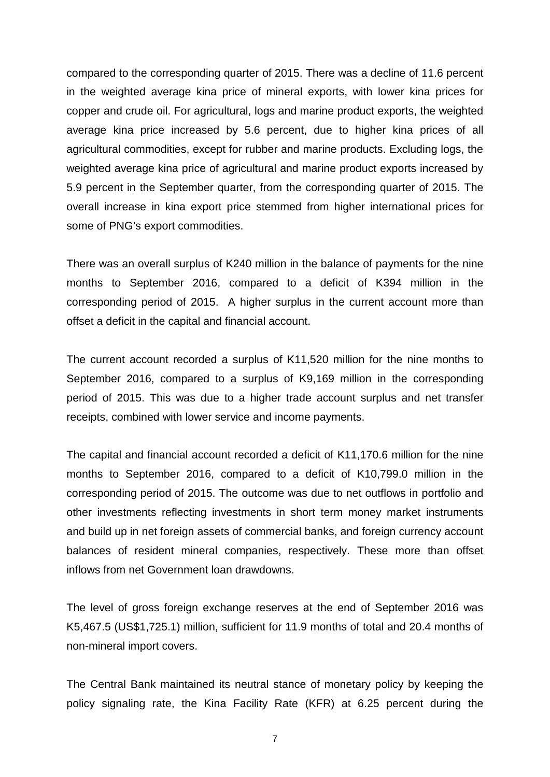compared to the corresponding quarter of 2015. There was a decline of 11.6 percent in the weighted average kina price of mineral exports, with lower kina prices for copper and crude oil. For agricultural, logs and marine product exports, the weighted average kina price increased by 5.6 percent, due to higher kina prices of all agricultural commodities, except for rubber and marine products. Excluding logs, the weighted average kina price of agricultural and marine product exports increased by 5.9 percent in the September quarter, from the corresponding quarter of 2015. The overall increase in kina export price stemmed from higher international prices for some of PNG's export commodities.

There was an overall surplus of K240 million in the balance of payments for the nine months to September 2016, compared to a deficit of K394 million in the corresponding period of 2015. A higher surplus in the current account more than offset a deficit in the capital and financial account.

The current account recorded a surplus of K11,520 million for the nine months to September 2016, compared to a surplus of K9,169 million in the corresponding period of 2015. This was due to a higher trade account surplus and net transfer receipts, combined with lower service and income payments.

The capital and financial account recorded a deficit of K11,170.6 million for the nine months to September 2016, compared to a deficit of K10,799.0 million in the corresponding period of 2015. The outcome was due to net outflows in portfolio and other investments reflecting investments in short term money market instruments and build up in net foreign assets of commercial banks, and foreign currency account balances of resident mineral companies, respectively. These more than offset inflows from net Government loan drawdowns.

The level of gross foreign exchange reserves at the end of September 2016 was K5,467.5 (US\$1,725.1) million, sufficient for 11.9 months of total and 20.4 months of non-mineral import covers.

The Central Bank maintained its neutral stance of monetary policy by keeping the policy signaling rate, the Kina Facility Rate (KFR) at 6.25 percent during the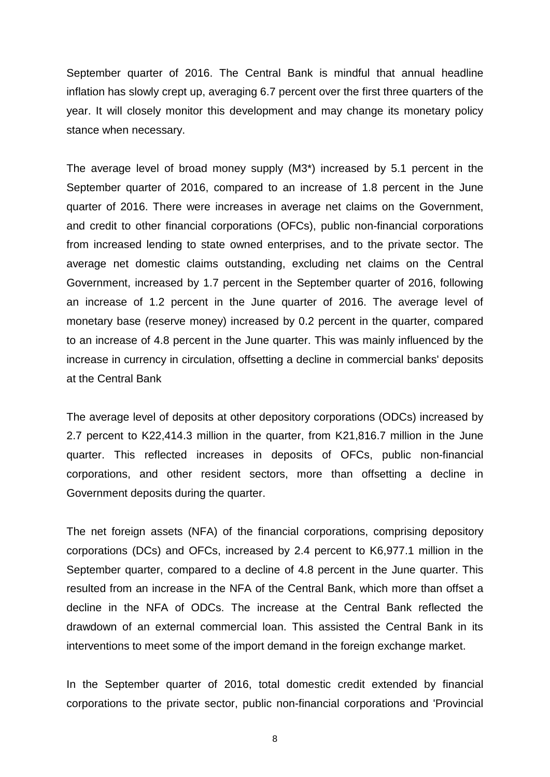September quarter of 2016. The Central Bank is mindful that annual headline inflation has slowly crept up, averaging 6.7 percent over the first three quarters of the year. It will closely monitor this development and may change its monetary policy stance when necessary.

The average level of broad money supply (M3\*) increased by 5.1 percent in the September quarter of 2016, compared to an increase of 1.8 percent in the June quarter of 2016. There were increases in average net claims on the Government, and credit to other financial corporations (OFCs), public non-financial corporations from increased lending to state owned enterprises, and to the private sector. The average net domestic claims outstanding, excluding net claims on the Central Government, increased by 1.7 percent in the September quarter of 2016, following an increase of 1.2 percent in the June quarter of 2016. The average level of monetary base (reserve money) increased by 0.2 percent in the quarter, compared to an increase of 4.8 percent in the June quarter. This was mainly influenced by the increase in currency in circulation, offsetting a decline in commercial banks' deposits at the Central Bank

The average level of deposits at other depository corporations (ODCs) increased by 2.7 percent to K22,414.3 million in the quarter, from K21,816.7 million in the June quarter. This reflected increases in deposits of OFCs, public non-financial corporations, and other resident sectors, more than offsetting a decline in Government deposits during the quarter.

The net foreign assets (NFA) of the financial corporations, comprising depository corporations (DCs) and OFCs, increased by 2.4 percent to K6,977.1 million in the September quarter, compared to a decline of 4.8 percent in the June quarter. This resulted from an increase in the NFA of the Central Bank, which more than offset a decline in the NFA of ODCs. The increase at the Central Bank reflected the drawdown of an external commercial loan. This assisted the Central Bank in its interventions to meet some of the import demand in the foreign exchange market.

In the September quarter of 2016, total domestic credit extended by financial corporations to the private sector, public non-financial corporations and 'Provincial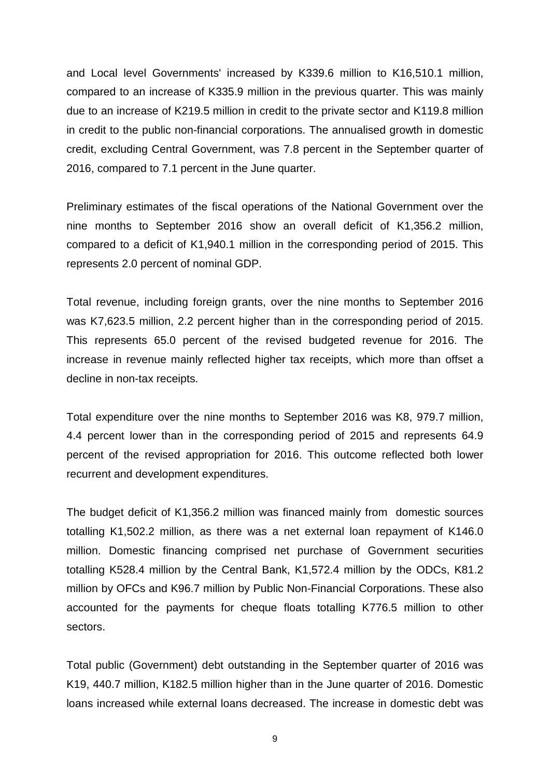and Local level Governments' increased by K339.6 million to K16,510.1 million, compared to an increase of K335.9 million in the previous quarter. This was mainly due to an increase of K219.5 million in credit to the private sector and K119.8 million in credit to the public non-financial corporations. The annualised growth in domestic credit, excluding Central Government, was 7.8 percent in the September quarter of 2016, compared to 7.1 percent in the June quarter.

Preliminary estimates of the fiscal operations of the National Government over the nine months to September 2016 show an overall deficit of K1,356.2 million, compared to a deficit of K1,940.1 million in the corresponding period of 2015. This represents 2.0 percent of nominal GDP.

Total revenue, including foreign grants, over the nine months to September 2016 was K7,623.5 million, 2.2 percent higher than in the corresponding period of 2015. This represents 65.0 percent of the revised budgeted revenue for 2016. The increase in revenue mainly reflected higher tax receipts, which more than offset a decline in non-tax receipts.

Total expenditure over the nine months to September 2016 was K8, 979.7 million, 4.4 percent lower than in the corresponding period of 2015 and represents 64.9 percent of the revised appropriation for 2016. This outcome reflected both lower recurrent and development expenditures.

The budget deficit of K1,356.2 million was financed mainly from domestic sources totalling K1,502.2 million, as there was a net external loan repayment of K146.0 million. Domestic financing comprised net purchase of Government securities totalling K528.4 million by the Central Bank, K1,572.4 million by the ODCs, K81.2 million by OFCs and K96.7 million by Public Non-Financial Corporations. These also accounted for the payments for cheque floats totalling K776.5 million to other sectors.

Total public (Government) debt outstanding in the September quarter of 2016 was K19, 440.7 million, K182.5 million higher than in the June quarter of 2016. Domestic loans increased while external loans decreased. The increase in domestic debt was